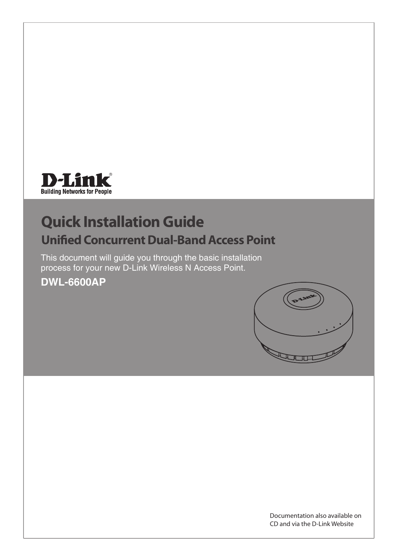

# **Quick Installation Guide Unified Concurrent Dual-Band Access Point**

This document will guide you through the basic installation process for your new D-Link Wireless N Access Point.

**DWL-6600AP**



Documentation also available on CD and via the D-Link Website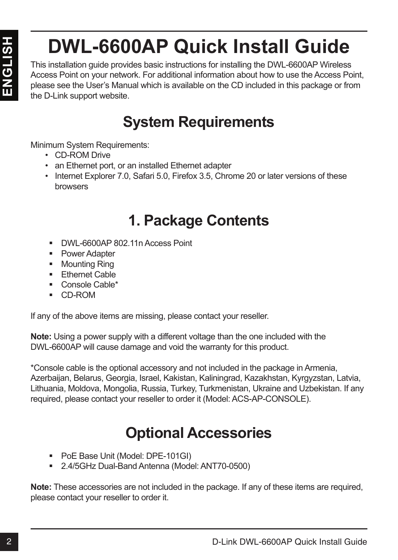# **DWL-6600AP Quick Install Guide**

This installation guide provides basic instructions for installing the DWL-6600AP Wireless Access Point on your network. For additional information about how to use the Access Point, please see the User's Manual which is available on the CD included in this package or from the D-Link support website.

# **System Requirements**

Minimum System Requirements:

- CD-ROM Drive
- an Ethernet port, or an installed Ethernet adapter
- Internet Explorer 7.0, Safari 5.0, Firefox 3.5, Chrome 20 or later versions of these browsers

# **1. Package Contents**

- DWL-6600AP 802.11n Access Point
- **Power Adapter**
- **Mounting Ring**
- **Ethernet Cable**
- Console Cable\*
- CD-ROM

If any of the above items are missing, please contact your reseller.

**Note:** Using a power supply with a different voltage than the one included with the DWL-6600AP will cause damage and void the warranty for this product.

D-WL-6600AP Quick Install Guide<br>
This installation guide provides basic instructions for installing the DVL-6600AP Weiless<br>
Presses Point on your network. For additional information about how to use the Access Point<br>
fre \*Console cable is the optional accessory and not included in the package in Armenia, Azerbaijan, Belarus, Georgia, Israel, Kakistan, Kaliningrad, Kazakhstan, Kyrgyzstan, Latvia, Lithuania, Moldova, Mongolia, Russia, Turkey, Turkmenistan, Ukraine and Uzbekistan. If any required, please contact your reseller to order it (Model: ACS-AP-CONSOLE).

# **Optional Accessories**

- PoE Base Unit (Model: DPE-101GI)
- 2.4/5GHz Dual-Band Antenna (Model: ANT70-0500)

**Note:** These accessories are not included in the package. If any of these items are required, please contact your reseller to order it.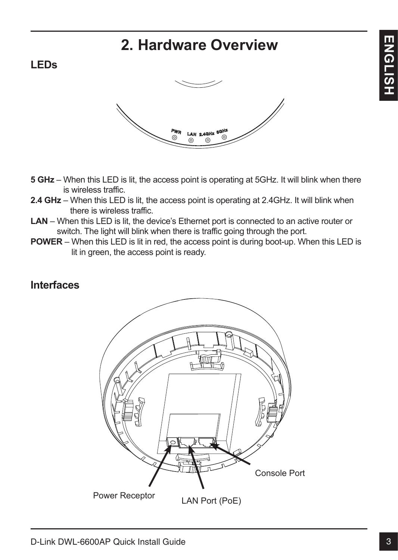# **2. Hardware Overview**

### **LEDs**



- **5 GHz** When this LED is lit, the access point is operating at 5GHz. It will blink when there is wireless traffic.
- **2.4 GHz** When this LED is lit, the access point is operating at 2.4GHz. It will blink when there is wireless traffic.
- **LAN**  When this LED is lit, the device's Ethernet port is connected to an active router or switch. The light will blink when there is traffic going through the port.
- **POWER** When this LED is lit in red, the access point is during boot-up. When this LED is lit in green, the access point is ready.

### **Interfaces**

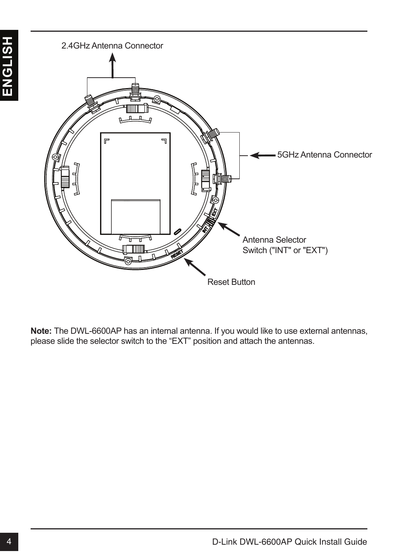

**Note:** The DWL-6600AP has an internal antenna. If you would like to use external antennas, please slide the selector switch to the "EXT" position and attach the antennas.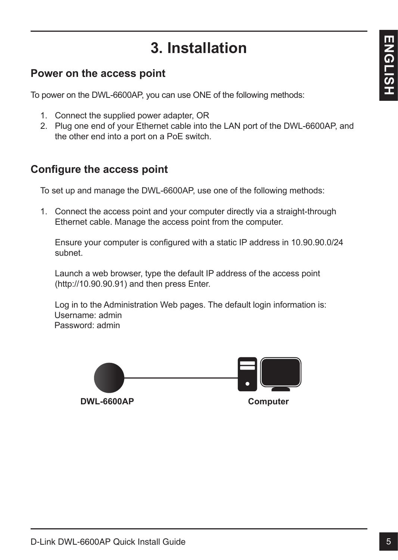# **3. Installation**

### **Power on the access point**

To power on the DWL-6600AP, you can use ONE of the following methods:

- 1. Connect the supplied power adapter, OR
- 2. Plug one end of your Ethernet cable into the LAN port of the DWL-6600AP, and the other end into a port on a PoE switch.

### **Configure the access point**

To set up and manage the DWL-6600AP, use one of the following methods:

1. Connect the access point and your computer directly via a straight-through Ethernet cable. Manage the access point from the computer.

Ensure your computer is configured with a static IP address in 10.90.90.0/24 subnet.

Launch a web browser, type the default IP address of the access point (http://10.90.90.91) and then press Enter.

Log in to the Administration Web pages. The default login information is: Username: admin Password: admin

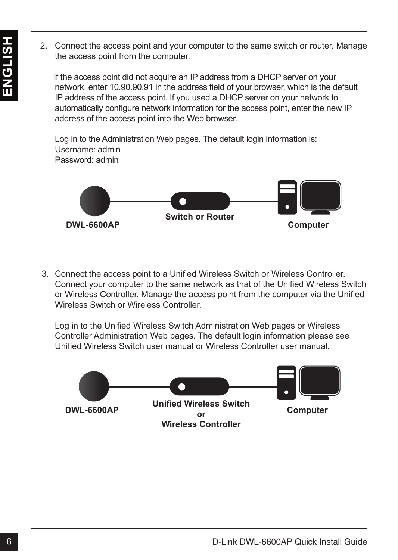- - 2. Connect the access point and your computer to the same switch or router. Manage the access point from the computer.

 If the access point did not acquire an IP address from a DHCP server on your network, enter 10.90.90.91 in the address field of your browser, which is the default IP address of the access point. If you used a DHCP server on your network to automatically configure network information for the access point, enter the new IP address of the access point into the Web browser.

Log in to the Administration Web pages. The default login information is: Username: admin Password: admin



3. Connect the access point to a Unified Wireless Switch or Wireless Controller. Connect your computer to the same network as that of the Unified Wireless Switch or Wireless Controller. Manage the access point from the computer via the Unified Wireless Switch or Wireless Controller.

Log in to the Unified Wireless Switch Administration Web pages or Wireless Controller Administration Web pages. The default login information please see Unified Wireless Switch user manual or Wireless Controller user manual.

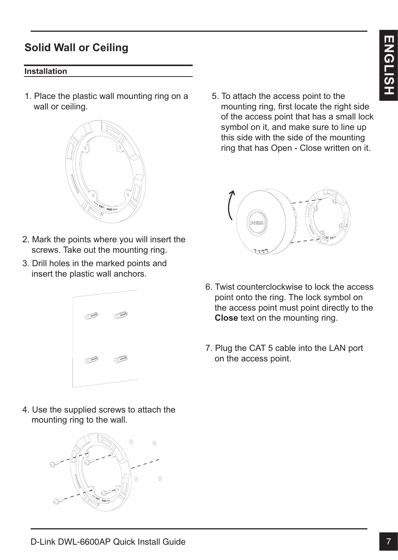### **Solid Wall or Ceiling**

### **Installation**

1. Place the plastic wall mounting ring on a wall or ceiling.



- 2. Mark the points where you will insert the screws. Take out the mounting ring.
- 3. Drill holes in the marked points and insert the plastic wall anchors.



4. Use the supplied screws to attach the mounting ring to the wall.



5. To attach the access point to the mounting ring, first locate the right side of the access point that has a small lock symbol on it, and make sure to line up this side with the side of the mounting ring that has Open - Close written on it.



- 6. Twist counterclockwise to lock the access point onto the ring. The lock symbol on the access point must point directly to the **Close** text on the mounting ring.
- 7. Plug the CAT 5 cable into the LAN port on the access point.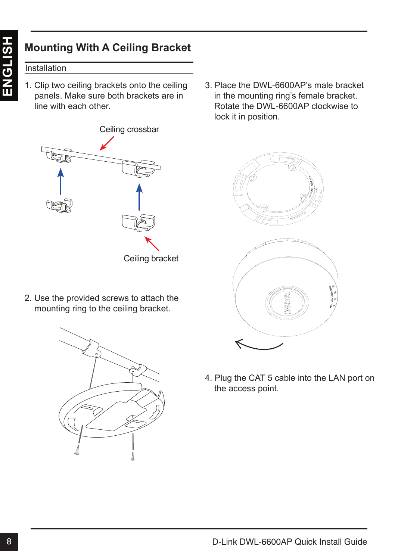### Installation

1. Clip two ceiling brackets onto the ceiling panels. Make sure both brackets are in line with each other.



2. Use the provided screws to attach the mounting ring to the ceiling bracket.



3. Place the DWL-6600AP's male bracket in the mounting ring's female bracket. Rotate the DWL-6600AP clockwise to lock it in position.





4. Plug the CAT 5 cable into the LAN port on the access point.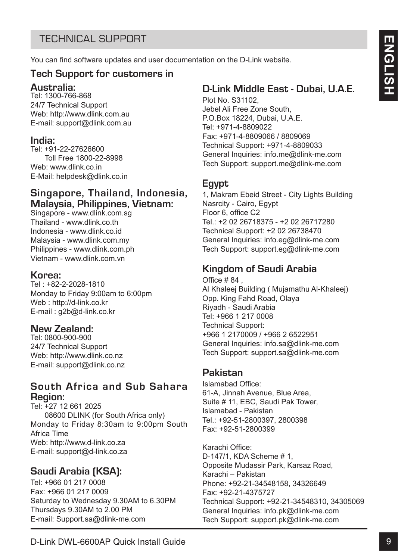### TECHNICAL SUPPORT

You can find software updates and user documentation on the D-Link website.

### **Tech Support for customers in**

### **Australia:**

Tel: 1300-766-868 24/7 Technical Support Web: http://www.dlink.com.au E-mail: support@dlink.com.au

### **India:**

Tel: +91-22-27626600 Toll Free 1800-22-8998 Web: www.dlink.co.in E-Mail: helpdesk@dlink.co.in

### **Singapore, Thailand, Indonesia, Malaysia, Philippines, Vietnam:**

Singapore - www.dlink.com.sg Thailand - www.dlink.co.th Indonesia - www.dlink.co.id Malaysia - www.dlink.com.my Philippines - www.dlink.com.ph Vietnam - www.dlink.com.vn

### **Korea:**

Tel : +82-2-2028-1810 Monday to Friday 9:00am to 6:00pm Web : http://d-link.co.kr E-mail : g2b@d-link.co.kr

### **New Zealand:**

Tel: 0800-900-900 24/7 Technical Support Web: http://www.dlink.co.nz E-mail: support@dlink.co.nz

### **South Africa and Sub Sahara Region:**

Tel: +27 12 661 2025 08600 DLINK (for South Africa only) Monday to Friday 8:30am to 9:00pm South Africa Time Web: http://www.d-link.co.za E-mail: support@d-link.co.za

### **Saudi Arabia (KSA):**

Tel: +966 01 217 0008 Fax: +966 01 217 0009 Saturday to Wednesday 9.30AM to 6.30PM Thursdays 9.30AM to 2.00 PM E-mail: Support.sa@dlink-me.com

### **D-Link Middle East - Dubai, U.A.E.**

Plot No. S31102, Jebel Ali Free Zone South, P.O.Box 18224, Dubai, U.A.E. Tel: +971-4-8809022 Fax: +971-4-8809066 / 8809069 Technical Support: +971-4-8809033 General Inquiries: info.me@dlink-me.com Tech Support: support.me@dlink-me.com

### **Egypt**

1, Makram Ebeid Street - City Lights Building Nasrcity - Cairo, Egypt Floor 6, office C2 Tel.: +2 02 26718375 - +2 02 26717280 Technical Support: +2 02 26738470 General Inquiries: info.eg@dlink-me.com Tech Support: support.eg@dlink-me.com

### **Kingdom of Saudi Arabia**

Office # 84 , Al Khaleej Building ( Mujamathu Al-Khaleej) Opp. King Fahd Road, Olaya Riyadh - Saudi Arabia Tel: +966 1 217 0008 Technical Support: +966 1 2170009 / +966 2 6522951 General Inquiries: info.sa@dlink-me.com Tech Support: support.sa@dlink-me.com

### **Pakistan**

Islamabad Office: 61-A, Jinnah Avenue, Blue Area, Suite # 11, EBC, Saudi Pak Tower, Islamabad - Pakistan Tel.: +92-51-2800397, 2800398 Fax: +92-51-2800399

TECHNICAL SUPPORT<br>
You can find school of solid Guide 15 (Find Middle East - Dubai, U.A.E.<br>
The 1300-760-868<br>
Yest High Solid Guide 9<br>
Yest High Solid Guide 9<br>
Yest High Solid Guide 9<br>
Yest High Solid Guide 9<br>
West West Wo Karachi Office: D-147/1, KDA Scheme # 1, Opposite Mudassir Park, Karsaz Road, Karachi – Pakistan Phone: +92-21-34548158, 34326649 Fax: +92-21-4375727 Technical Support: +92-21-34548310, 34305069 General Inquiries: info.pk@dlink-me.com Tech Support: support.pk@dlink-me.com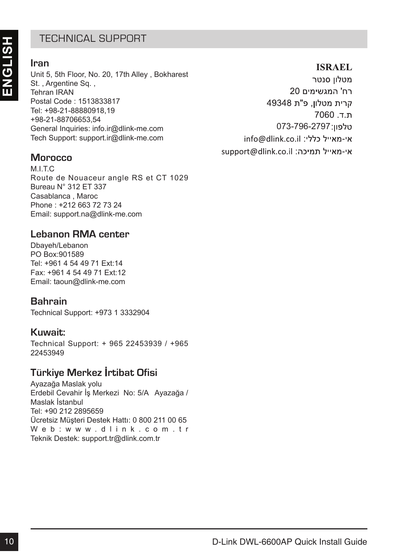### TECHNICAL SUPPORT

### **Iran**

Unit 5, 5th Floor, No. 20, 17th Alley , Bokharest St. , Argentine Sq. , Tehran IRAN Postal Code : 1513833817 Tel: +98-21-88880918,19 +98-21-88706653,54 General Inquiries: info.ir@dlink-me.com Tech Support: support.ir@dlink-me.com

### **Morocco**

M<sub>I</sub>TC Route de Nouaceur angle RS et CT 1029 Bureau N° 312 ET 337 Casablanca , Maroc Phone : +212 663 72 73 24 Email: support.na@dlink-me.com

### **Lebanon RMA center**

Dbayeh/Lebanon PO Box:901589 Tel: +961 4 54 49 71 Ext:14 Fax: +961 4 54 49 71 Ext:12 Email: taoun@dlink-me.com

### **Bahrain**

Technical Support: +973 1 3332904

### **Kuwait:**

Technical Support: + 965 22453939 / +965 22453949

### **Türkiye Merkez İrtibat Ofisi**

Ayazağa Maslak yolu Erdebil Cevahir İş Merkezi No: 5/A Ayazağa / Maslak İstanbul Tel: +90 212 2895659 Ücretsiz Müşteri Destek Hattı: 0 800 211 00 65 Web: www.dlink.com.tr Teknik Destek: support.tr@dlink.com.tr

# 1 ELE-Frivato-KL addressing<br>
Unit 8, 5th Floor, No. 20, 17th Alley, Bokharest<br>
10 Data S. 6th Floor, 1613833817<br>
Four Code : 1613833817<br>
Four Code : 1613833817<br>
Four Code : 1613838317<br>
E-842-148970063.54<br>
e-842-148970063 073-796-2797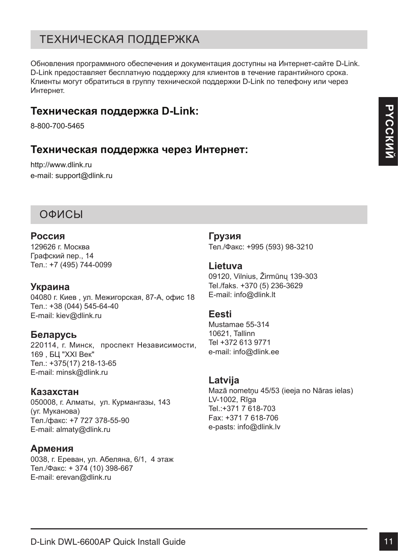### Техническая поддержка

Обновления программного обеспечения и документация доступны на Интернет-сайте D-Link. D-Link предоставляет бесплатную поддержку для клиентов в течение гарантийного срока. Клиенты могут обратиться в группу технической поддержки D-Link по телефону или через Интернет.

### **Техническая поддержка D-Link:**

8-800-700-5465

### **Техническая поддержка через Интернет:**

http://www.dlink.ru e-mail: support@dlink.ru

### Офисы

### **Россия**

129626 г. Москва Графский пер., 14 Тел.: +7 (495) 744-0099

### **Украина**

04080 г. Киев , ул. Межигорская, 87-А, офис 18 Тел.: +38 (044) 545-64-40 E-mail: kiev@dlink.ru

### **Беларусь**

220114, г. Минск, проспект Независимости, 169 , БЦ "XXI Век" Тел.: +375(17) 218-13-65 E-mail: minsk@dlink.ru

### **Казахстан**

050008, г. Алматы, ул. Курмангазы, 143 (уг. Муканова) Tел./факс: +7 727 378-55-90 E-mail: almaty@dlink.ru

### **Армения**

0038, г. Ереван, ул. Абеляна, 6/1, 4 этаж Тел./Факс: + 374 (10) 398-667 E-mail: erevan@dlink.ru

**Грузия**

Тел./Факс: +995 (593) 98-3210

### **Lietuva**

09120, Vilnius, Žirmūnų 139-303 Tel./faks. +370 (5) 236-3629 E-mail: info@dlink.lt

### **Eesti**

Mustamae 55-314 10621, Tallinn Tel +372 613 9771 e-mail: info@dlink.ee

### **Latvija**

**Техническая поддержка D-Link:**<br> **Техническая поддержка через Интернет:**<br> **Техническая поддержка через Интернет:**<br>
<br>
email support@illink.ru<br>
email support@illink.ru<br>
D-DVLG I<br>
Dapayes in Mexicon App., 14<br>
Dapayes in Mexi Mazā nometņu 45/53 (ieeja no Nāras ielas) LV-1002, Rīga Tel.:+371 7 618-703 Fax: +371 7 618-706 e-pasts: info@dlink.lv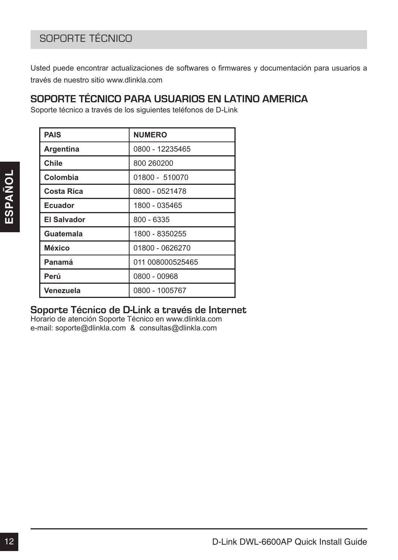### SOPORTE TÉCNICO

Usted puede encontrar actualizaciones de softwares o firmwares y documentación para usuarios a través de nuestro sitio www.dlinkla.com

### **SOPORTE TÉCNICO PARA USUARIOS EN LATINO AMERICA**

Soporte técnico a través de los siguientes teléfonos de D-Link

|         | <b>PAIS</b>        | <b>NUMERO</b>    |  |
|---------|--------------------|------------------|--|
|         | Argentina          | 0800 - 12235465  |  |
|         | Chile              | 800 260 200      |  |
| ESPAÑOL | Colombia           | 01800 - 510070   |  |
|         | <b>Costa Rica</b>  | 0800 - 0521478   |  |
|         | <b>Ecuador</b>     | 1800 - 035465    |  |
|         | <b>El Salvador</b> | $800 - 6335$     |  |
|         | Guatemala          | 1800 - 8350255   |  |
|         | México             | 01800 - 0626270  |  |
|         | Panamá             | 011 008000525465 |  |
|         | Perú               | 0800 - 00968     |  |
|         | Venezuela          | 0800 - 1005767   |  |
|         |                    |                  |  |
|         |                    |                  |  |
|         |                    |                  |  |

### **Soporte Técnico de D-Link a través de Internet**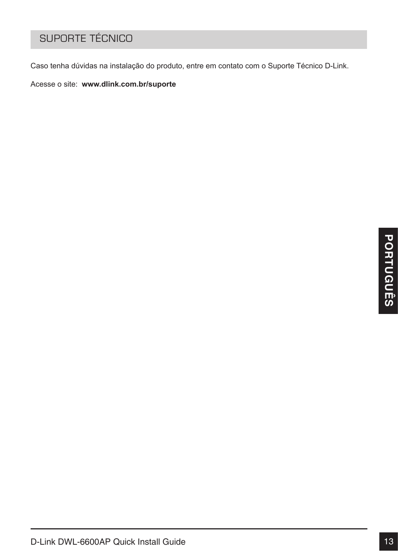### Suporte Técnico

Caso tenha dúvidas na instalação do produto, entre em contato com o Suporte Técnico D-Link.

Acesse o site: **www.dlink.com.br/suporte**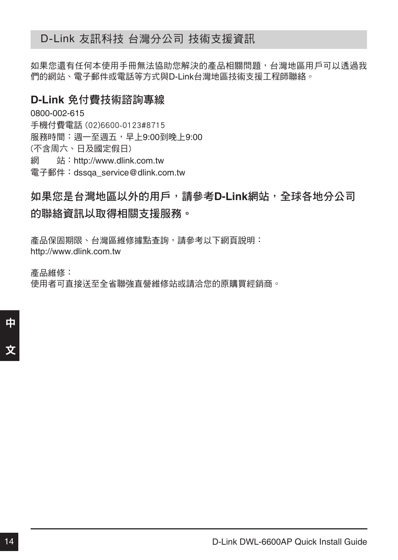### D-Link 友訊科技 台灣分公司 技術支援資訊

如果您還有任何本使用手冊無法協助您解決的產品相關問題,台灣地區用戶可以透過我 們的網站、電子郵件或電話等方式與D-Link台灣地區技術支援工程師聯絡。

### **D-Link** 免付費技術諮詢專線

0800-002-615 手機付費電話 (02)6600-0123#8715 服務時間:週一至週五,早上9:00到晚上9:00 (不含周六、日及國定假日) 網 站:http://www.dlink.com.tw 電子郵件:dssqa\_service@dlink.com.tw

## 如果您是台灣地區以外的用戶,請參考**D-Link**網站,全球各地分公司 的聯絡資訊以取得相關支援服務。

產品保固期限、台灣區維修據點查詢,請參考以下網頁說明: http://www.dlink.com.tw

產品維修: 使用者可直接送至全省聯強直營維修站或請洽您的原購買經銷商。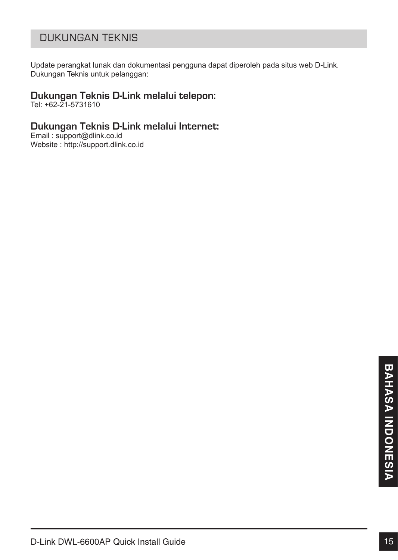### Dukungan Teknis

Update perangkat lunak dan dokumentasi pengguna dapat diperoleh pada situs web D-Link. Dukungan Teknis untuk pelanggan:

# **Dukungan Teknis D-Link melalui telepon:** Tel: +62-21-5731610

### **Dukungan Teknis D-Link melalui Internet:**

Email : support@dlink.co.id Website : http://support.dlink.co.id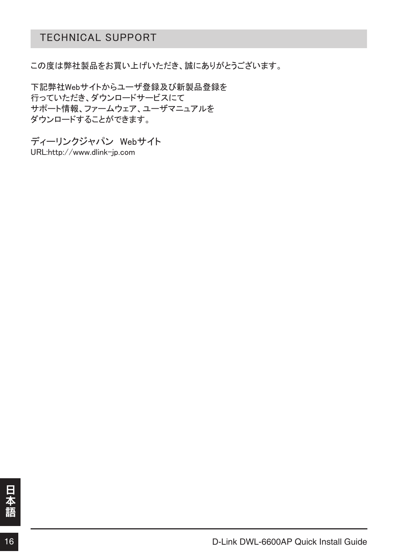### Technical Support

この度は弊社製品をお買い上げいただき、誠にありがとうございます。

下記弊社Webサイトからユーザ登録及び新製品登録を 行っていただき、ダウンロードサービスにて サポート情報、ファームウェア、ユーザマニュアルを ダウンロードすることができます。

ディーリンクジャパン Webサイト URL:http://www.dlink-jp.com

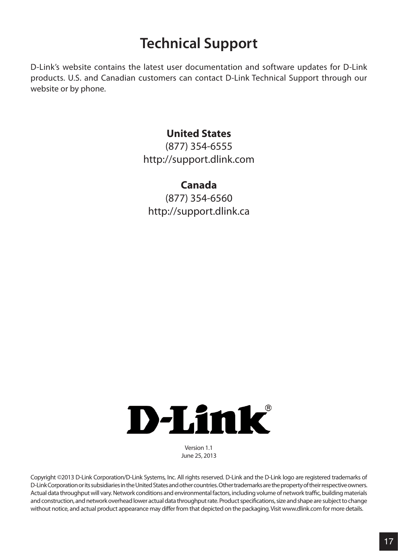# **Technical Support**

D-Link's website contains the latest user documentation and software updates for D-Link products. U.S. and Canadian customers can contact D-Link Technical Support through our website or by phone.

### **United States**

(877) 354-6555 http://support.dlink.com

### **Canada**

(877) 354-6560 http://support.dlink.ca



Version 1.1 June 25, 2013

Copyright ©2013 D-Link Corporation/D-Link Systems, Inc. All rights reserved. D-Link and the D-Link logo are registered trademarks of D-Link Corporation or its subsidiaries in the United States and other countries. Other trademarks are the property of their respective owners. Actual data throughput will vary. Network conditions and environmental factors, including volume of network traffic, building materials and construction, and network overhead lower actual data throughput rate. Product specifications, size and shape are subject to change without notice, and actual product appearance may differ from that depicted on the packaging. Visit www.dlink.com for more details.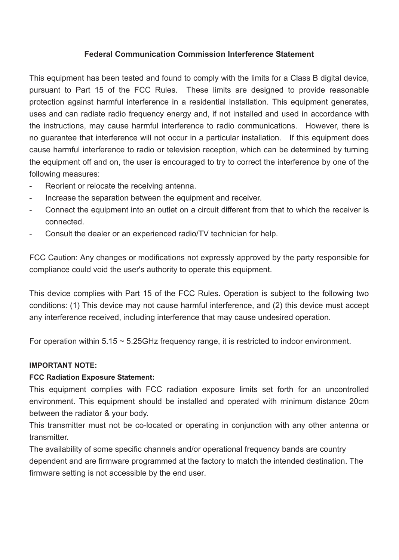### **Federal Communication Commission Interference Statement**

This equipment has been tested and found to comply with the limits for a Class B digital device, pursuant to Part 15 of the FCC Rules. These limits are designed to provide reasonable protection against harmful interference in a residential installation. This equipment generates, uses and can radiate radio frequency energy and, if not installed and used in accordance with the instructions, may cause harmful interference to radio communications. However, there is no guarantee that interference will not occur in a particular installation. If this equipment does cause harmful interference to radio or television reception, which can be determined by turning the equipment off and on, the user is encouraged to try to correct the interference by one of the following measures:

- Reorient or relocate the receiving antenna.
- Increase the separation between the equipment and receiver.
- Connect the equipment into an outlet on a circuit different from that to which the receiver is connected.
- Consult the dealer or an experienced radio/TV technician for help.

FCC Caution: Any changes or modifications not expressly approved by the party responsible for compliance could void the user's authority to operate this equipment.

This device complies with Part 15 of the FCC Rules. Operation is subject to the following two conditions: (1) This device may not cause harmful interference, and (2) this device must accept any interference received, including interference that may cause undesired operation.

For operation within  $5.15 \sim 5.25$ GHz frequency range, it is restricted to indoor environment.

### **IMPORTANT NOTE:**

### **FCC Radiation Exposure Statement:**

This equipment complies with FCC radiation exposure limits set forth for an uncontrolled environment. This equipment should be installed and operated with minimum distance 20cm between the radiator & your body.

This transmitter must not be co-located or operating in conjunction with any other antenna or transmitter.

The availability of some specific channels and/or operational frequency bands are country dependent and are firmware programmed at the factory to match the intended destination. The firmware setting is not accessible by the end user.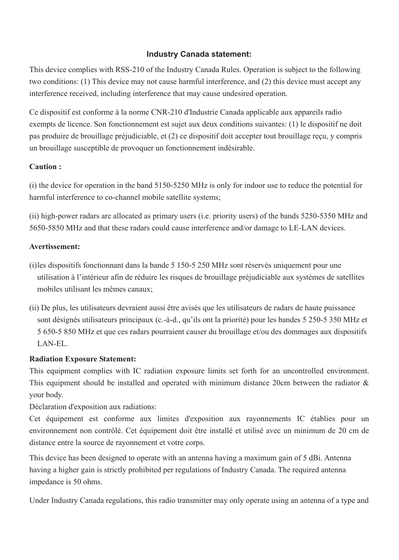### **Industry Canada statement:**

This device complies with RSS-210 of the Industry Canada Rules. Operation is subject to the following two conditions: (1) This device may not cause harmful interference, and (2) this device must accept any interference received, including interference that may cause undesired operation.

Ce dispositif est conforme à la norme CNR-210 d'Industrie Canada applicable aux appareils radio exempts de licence. Son fonctionnement est sujet aux deux conditions suivantes: (1) le dispositif ne doit pas produire de brouillage préjudiciable, et (2) ce dispositif doit accepter tout brouillage reçu, y compris un brouillage susceptible de provoquer un fonctionnement indésirable.

### **Caution :**

(i) the device for operation in the band 5150-5250 MHz is only for indoor use to reduce the potential for harmful interference to co-channel mobile satellite systems:

(ii) high-power radars are allocated as primary users (i.e. priority users) of the bands 5250-5350 MHz and 5650-5850 MHz and that these radars could cause interference and/or damage to LE-LAN devices.

### **Avertissement:**

- (i)les dispositifs fonctionnant dans la bande 5 150-5 250 MHz sont réservés uniquement pour une utilisation à l'intérieur afin de réduire les risques de brouillage préjudiciable aux systèmes de satellites mobiles utilisant les mêmes canaux;
- (ii) De plus, les utilisateurs devraient aussi être avisés que les utilisateurs de radars de haute puissance sont désignés utilisateurs principaux (c.-à-d., qu'ils ont la priorité) pour les bandes 5 250-5 350 MHz et 5 650-5 850 MHz et que ces radars pourraient causer du brouillage et/ou des dommages aux dispositifs LAN-EL.

### **Radiation Exposure Statement:**

This equipment complies with IC radiation exposure limits set forth for an uncontrolled environment. This equipment should be installed and operated with minimum distance 20cm between the radiator  $\&$ your body.

Déclaration d'exposition aux radiations:

Cet équipement est conforme aux limites d'exposition aux rayonnements IC établies pour un environnement non contrôlé. Cet équipement doit être installé et utilisé avec un minimum de 20 cm de distance entre la source de rayonnement et votre corps.

This device has been designed to operate with an antenna having a maximum gain of 5 dBi. Antenna having a higher gain is strictly prohibited per regulations of Industry Canada. The required antenna impedance is 50 ohms.

Under Industry Canada regulations, this radio transmitter may only operate using an antenna of a type and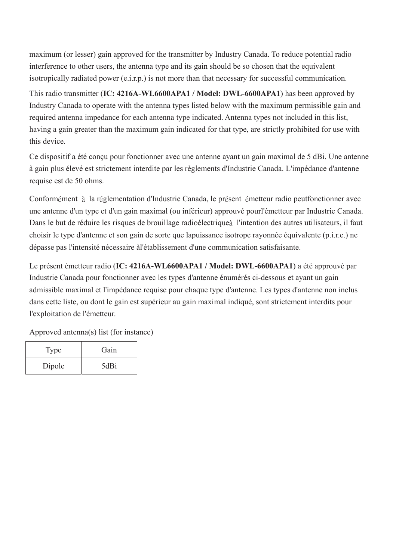maximum (or lesser) gain approved for the transmitter by Industry Canada. To reduce potential radio interference to other users, the antenna type and its gain should be so chosen that the equivalent isotropically radiated power (e.i.r.p.) is not more than that necessary for successful communication.

This radio transmitter (**IC: 4216A-WL6600APA1 / Model: DWL-6600APA1**) has been approved by Industry Canada to operate with the antenna types listed below with the maximum permissible gain and required antenna impedance for each antenna type indicated. Antenna types not included in this list, having a gain greater than the maximum gain indicated for that type, are strictly prohibited for use with this device.

Ce dispositif a été conçu pour fonctionner avec une antenne ayant un gain maximal de 5 dBi. Une antenne à gain plus élevé est strictement interdite par les règlements d'Industrie Canada. L'impédance d'antenne requise est de 50 ohms.

Conformément à la réglementation d'Industrie Canada, le présent émetteur radio peutfonctionner avec une antenne d'un type et d'un gain maximal (ou inférieur) approuvé pourl'émetteur par Industrie Canada. Dans le but de réduire les risques de brouillage radioélectrique l'intention des autres utilisateurs, il faut choisir le type d'antenne et son gain de sorte que lapuissance isotrope rayonnée équivalente (p.i.r.e.) ne dépasse pas l'intensité nécessaire àl'établissement d'une communication satisfaisante.

Le présent émetteur radio (**IC: 4216A-WL6600APA1 / Model: DWL-6600APA1**) a été approuvé par Industrie Canada pour fonctionner avec les types d'antenne énumérés ci-dessous et ayant un gain admissible maximal et l'impédance requise pour chaque type d'antenne. Les types d'antenne non inclus dans cette liste, ou dont le gain est supérieur au gain maximal indiqué, sont strictement interdits pour l'exploitation de l'émetteur.

Approved antenna(s) list (for instance)

| Type   | Gain |
|--------|------|
| Dipole | 5dBi |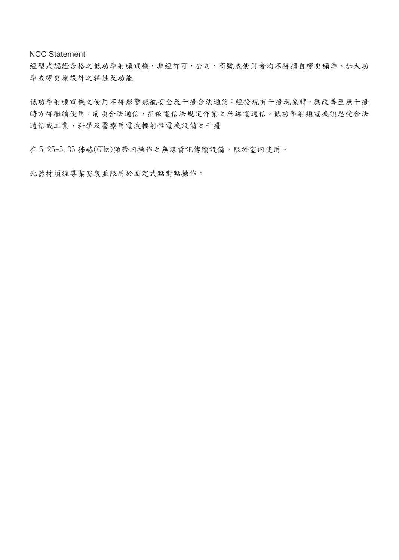NCC Statement

經型式認證合格之低功率射頻電機,非經許可,公司、商號或使用者均不得擅自變更頻率、加大功 率或變更原設計之特性及功能

低功率射頻電機之使用不得影響飛航安全及干擾合法通信;經發現有干擾現象時,應改善至無干擾 時方得繼續使用。前項合法通信,指依電信法規定作業之無線電通信。低功率射頻電機須忍受合法 通信或工業、科學及醫療用電波輻射性電機設備之干擾

在 5.25-5.35 秭赫(GHz)頻帶內操作之無線資訊傳輸設備,限於室內使用。

此器材須經專業安裝並限用於固定式點對點操作。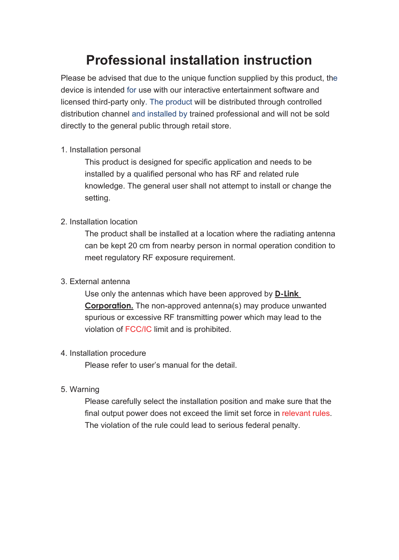# **Professional installation instruction**

Please be advised that due to the unique function supplied by this product, the device is intended for use with our interactive entertainment software and licensed third-party only. The product will be distributed through controlled distribution channel and installed by trained professional and will not be sold directly to the general public through retail store.

### 1. Installation personal

This product is designed for specific application and needs to be installed by a qualified personal who has RF and related rule knowledge. The general user shall not attempt to install or change the setting.

### 2. Installation location

The product shall be installed at a location where the radiating antenna can be kept 20 cm from nearby person in normal operation condition to meet regulatory RF exposure requirement.

### 3. External antenna

Use only the antennas which have been approved by **D-Link Corporation.** The non-approved antenna(s) may produce unwanted spurious or excessive RF transmitting power which may lead to the violation of FCC/IC limit and is prohibited.

### 4. Installation procedure

Please refer to user's manual for the detail.

### 5. Warning

Please carefully select the installation position and make sure that the final output power does not exceed the limit set force in relevant rules. The violation of the rule could lead to serious federal penalty.